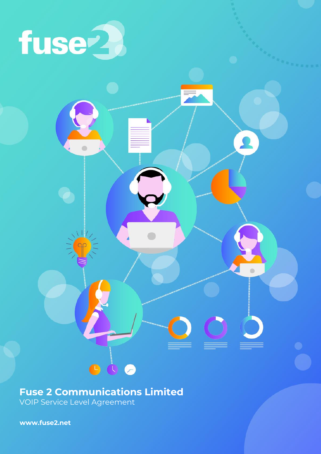

# **Fuse 2 Communications Limited**

 $\bullet\bullet\bullet$ 

VOIP Service Level Agreement

**[www.fuse2.net](http://www.fuse2.net/)**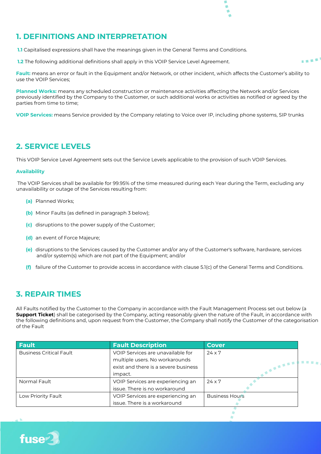#### **1. DEFINITIONS AND INTERPRETATION**

**1.1** Capitalised expressions shall have the meanings given in the General Terms and Conditions.

**1.2** The following additional definitions shall apply in this VOIP Service Level Agreement.

**Fault:** means an error or fault in the Equipment and/or Network, or other incident, which affects the Customer's ability to use the VOIP Services;

a a shi

**Planned Works:** means any scheduled construction or maintenance activities affecting the Network and/or Services previously identified by the Company to the Customer, or such additional works or activities as notified or agreed by the parties from time to time;

**VOIP Services:** means Service provided by the Company relating to Voice over IP, including phone systems, SIP trunks

#### **2. SERVICE LEVELS**

This VOIP Service Level Agreement sets out the Service Levels applicable to the provision of such VOIP Services.

#### **Availability**

The VOIP Services shall be available for 99.95% of the time measured during each Year during the Term, excluding any unavailability or outage of the Services resulting from:

- **(a)** Planned Works;
- **(b)** Minor Faults (as defined in paragraph 3 below);
- **(c)** disruptions to the power supply of the Customer;
- **(d)** an event of Force Majeure;
- **(e)** disruptions to the Services caused by the Customer and/or any of the Customer's software, hardware, services and/or system(s) which are not part of the Equipment; and/or
- **(f)** failure of the Customer to provide access in accordance with clause 5.1(c) of the General Terms and Conditions.

#### **3. REPAIR TIMES**

All Faults notified by the Customer to the Company in accordance with the Fault Management Process set out below (a **Support Ticket**) shall be categorised by the Company, acting reasonably given the nature of the Fault, in accordance with the following definitions and, upon request from the Customer, the Company shall notify the Customer of the categorisation of the Fault

| Fault                          | <b>Fault Description</b>             | <b>Cover</b>          |  |
|--------------------------------|--------------------------------------|-----------------------|--|
| <b>Business Critical Fault</b> | VOIP Services are unavailable for    | $24 \times 7$         |  |
|                                | multiple users. No workarounds       |                       |  |
|                                | exist and there is a severe business | <b>STATISTICS</b>     |  |
|                                | impact.                              |                       |  |
| Normal Fault                   | VOIP Services are experiencing an    | $24 \times 7$         |  |
|                                | issue. There is no workaround        |                       |  |
| Low Priority Fault             | VOIP Services are experiencing an    | <b>Business Hours</b> |  |
|                                | issue. There is a workaround         |                       |  |

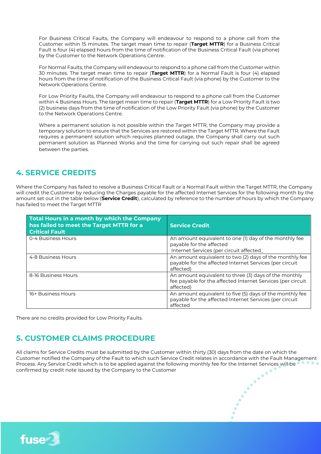For Business Critical Faults, the Company will endeavour to respond to a phone call from the Customer within 15 minutes. The target mean time to repair (**Target MTTR**) for a Business Critical Fault is four (4) elapsed hours from the time of notification of the Business Critical Fault (via phone) by the Customer to the Network Operations Centre.

For Normal Faults, the Company will endeavour to respond to a phone call from the Customer within 30 minutes. The target mean time to repair (**Target MTTR**) for a Normal Fault is four (4) elapsed hours from the time of notification of the Business Critical Fault (via phone) by the Customer to the Network Operations Centre.

For Low Priority Faults, the Company will endeavour to respond to a phone call from the Customer within 4 Business Hours. The target mean time to repair (**Target MTTR**) for a Low Priority Fault is two (2) business days from the time of notification of the Low Priority Fault (via phone) by the Customer to the Network Operations Centre.

Where a permanent solution is not possible within the Target MTTR, the Company may provide a temporary solution to ensure that the Services are restored within the Target MTTR. Where the Fault requires a permanent solution which requires planned outage, the Company shall carry out such permanent solution as Planned Works and the time for carrying out such repair shall be agreed between the parties.

#### **4. SERVICE CREDITS**

Where the Company has failed to resolve a Business Critical Fault or a Normal Fault within the Target MTTR, the Company will credit the Customer by reducing the Charges payable for the affected Internet Services for the following month by the amount set out in the table below (**Service Credit**), calculated by reference to the number of hours by which the Company has failed to meet the Target MTTR

| <b>Total Hours in a month by which the Company</b><br>has failed to meet the Target MTTR for a<br><b>Critical Fault</b> | <b>Service Credit</b>                                                                                                             |
|-------------------------------------------------------------------------------------------------------------------------|-----------------------------------------------------------------------------------------------------------------------------------|
| 0-4 Business Hours                                                                                                      | An amount equivalent to one (1) day of the monthly fee<br>payable for the affected<br>Internet Services (per circuit affected_    |
| 4-8 Business Hours                                                                                                      | An amount equivalent to two (2) days of the monthly fee<br>payable for the affected Internet Services (per circuit<br>affected)   |
| 8-16 Business Hours                                                                                                     | An amount equivalent to three (3) days of the monthly<br>fee payable for the affected Internet Services (per circuit<br>affected) |
| 16+ Business Hours                                                                                                      | An amount equivalent to five (5) days of the monthly fee<br>payable for the affected Internet Services (per circuit<br>affected   |

There are no credits provided for Low Priority Faults.

true 99.999% uptime SLA.

# **5. CUSTOMER CLAIMS PROCEDURE**

All claims for Service Credits must be submitted by the Customer within thirty (30) days from the date on which the Customer notified the Company of the Fault to which such Service Credit relates in accordance with the Fault Management Process. Any Service Credit which is to be applied against the following monthly fee for the Internet Services will be confirmed by credit note issued by the Company to the Customer **Cost Effective:** Reduce spend with our simple calling plans. Only pay for the

**Stress Free Migration:** Smooth migration to Microsoft Teams with very little impact on users. Easy  $A$  and  $A$  administration of integrating existing  $\mathcal{A}$  integrating voice systems  $\mathcal{A}$ with Microsoft Teams. Fully Managed: Fully managed: Fully managed: Fully managed: Fully managed service, end-to-

maximum number of conceptual  $\mathcal{C}$  of conceptual pricing. The performance pricing  $\mathcal{C}$ 

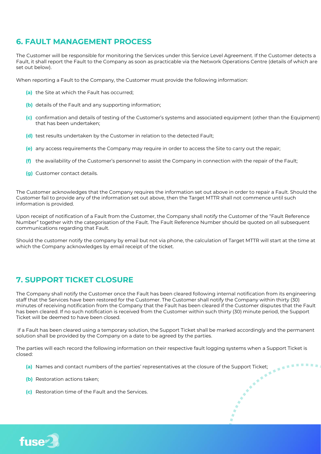#### **6. FAULT MANAGEMENT PROCESS**

The Customer will be responsible for monitoring the Services under this Service Level Agreement. If the Customer detects a Fault, it shall report the Fault to the Company as soon as practicable via the Network Operations Centre (details of which are set out below).

When reporting a Fault to the Company, the Customer must provide the following information:

- **(a)** the Site at which the Fault has occurred;
- **(b)** details of the Fault and any supporting information;
- **(c)** confirmation and details of testing of the Customer's systems and associated equipment (other than the Equipment) that has been undertaken;
- **(d)** test results undertaken by the Customer in relation to the detected Fault;
- **(e)** any access requirements the Company may require in order to access the Site to carry out the repair;
- **(f)** the availability of the Customer's personnel to assist the Company in connection with the repair of the Fault;
- **(g)** Customer contact details.

The Customer acknowledges that the Company requires the information set out above in order to repair a Fault. Should the Customer fail to provide any of the information set out above, then the Target MTTR shall not commence until such information is provided.

Upon receipt of notification of a Fault from the Customer, the Company shall notify the Customer of the "Fault Reference Number" together with the categorisation of the Fault. The Fault Reference Number should be quoted on all subsequent communications regarding that Fault.

Should the customer notify the company by email but not via phone, the calculation of Target MTTR will start at the time at which the Company acknowledges by email receipt of the ticket.

# **7. SUPPORT TICKET CLOSURE**

The Company shall notify the Customer once the Fault has been cleared following internal notification from its engineering staff that the Services have been restored for the Customer. The Customer shall notify the Company within thirty (30) minutes of receiving notification from the Company that the Fault has been cleared if the Customer disputes that the Fault has been cleared. If no such notification is received from the Customer within such thirty (30) minute period, the Support Ticket will be deemed to have been closed.

If a Fault has been cleared using a temporary solution, the Support Ticket shall be marked accordingly and the permanent solution shall be provided by the Company on a date to be agreed by the parties.

 $\ddot{\phantom{a}}$ 

The parties will each record the following information on their respective fault logging systems when a Support Ticket is closed:<br>
(a) Names and contact numbers of the parties' representatives at the closure of the Support closed:

- **(a)** Names and contact numbers of the parties' representatives at the closure of the Support Ticket;
- **(b)** Restoration actions taken;
- **(c)** Restoration time of the Fault and the Services.

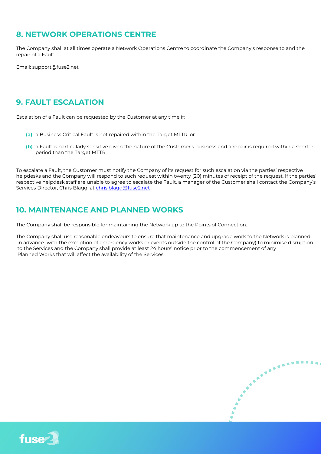# **8. NETWORK OPERATIONS CENTRE**

The Company shall at all times operate a Network Operations Centre to coordinate the Company's response to and the repair of a Fault.

Email: support@fuse2.net

# **9. FAULT ESCALATION**

Escalation of a Fault can be requested by the Customer at any time if:

- **(a)** a Business Critical Fault is not repaired within the Target MTTR; or
- **(b)** a Fault is particularly sensitive given the nature of the Customer's business and a repair is required within a shorter period than the Target MTTR.

To escalate a Fault, the Customer must notify the Company of its request for such escalation via the parties' respective helpdesks and the Company will respond to such request within twenty (20) minutes of receipt of the request. If the parties' respective helpdesk staff are unable to agree to escalate the Fault, a manager of the Customer shall contact the Company's Services Director, Chris Blagg, at [chris.blagg@fuse2.net](mailto:chris.blagg@fuse2.net)

#### **10. MAINTENANCE AND PLANNED WORKS**

The Company shall be responsible for maintaining the Network up to the Points of Connection.

The Company shall use reasonable endeavours to ensure that maintenance and upgrade work to the Network is planned in advance (with the exception of emergency works or events outside the control of the Company) to minimise disruption to the Services and the Company shall provide at least 24 hours' notice prior to the commencement of any Planned Works that will affect the availability of the Services